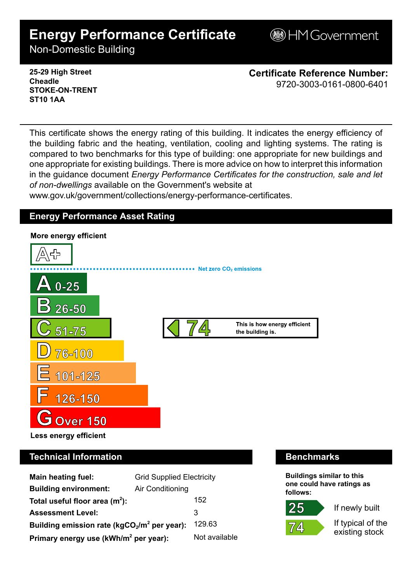# **Energy Performance Certificate**

**BHM Government** 

Non-Domestic Building

**25-29 High Street Cheadle STOKE-ON-TRENT ST10 1AA**

**Certificate Reference Number:** 9720-3003-0161-0800-6401

This certificate shows the energy rating of this building. It indicates the energy efficiency of the building fabric and the heating, ventilation, cooling and lighting systems. The rating is compared to two benchmarks for this type of building: one appropriate for new buildings and one appropriate for existing buildings. There is more advice on how to interpret this information in the guidance document *Energy Performance Certificates for the construction, sale and let of non-dwellings* available on the Government's website at

www.gov.uk/government/collections/energy-performance-certificates.

# **Energy Performance Asset Rating**



# **Technical Information Benchmarks**

| <b>Main heating fuel:</b>                         | <b>Grid Supplied Electricity</b> |               |
|---------------------------------------------------|----------------------------------|---------------|
| <b>Building environment:</b>                      | Air Conditioning                 |               |
| Total useful floor area $(m2)$ :                  |                                  | 152           |
| <b>Assessment Level:</b>                          |                                  | 3             |
| Building emission rate ( $kgCO2/m2$ per year):    |                                  | 129.63        |
| Primary energy use (kWh/m <sup>2</sup> per year): |                                  | Not available |

**Buildings similar to this one could have ratings as follows:**



If newly built

If typical of the existing stock